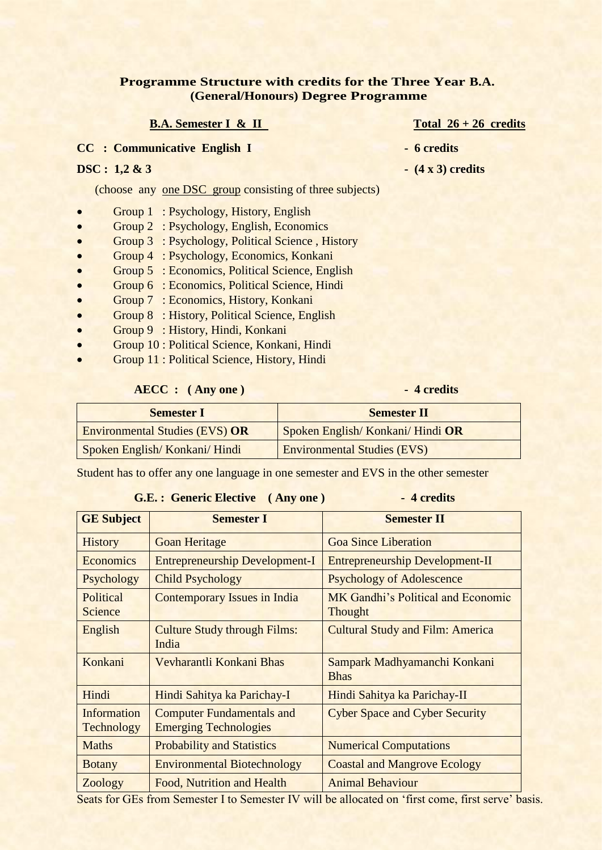### **Programme Structure with credits for the Three Year B.A. (General/Honours) Degree Programme**

### **B.A. Semester I & II** Total 26 + 26 credits

**CC : Communicative English I - 6 credits** 

(choose any one DSC group consisting of three subjects)

- Group 1 : Psychology, History, English
- Group 2 : Psychology, English, Economics
- Group 3 : Psychology, Political Science , History
- Group 4 : Psychology, Economics, Konkani
- Group 5 : Economics, Political Science, English
- Group 6 : Economics, Political Science, Hindi
- Group 7 : Economics, History, Konkani
- Group 8 : History, Political Science, English
- Group 9 : History, Hindi, Konkani
- Group 10 : Political Science, Konkani, Hindi
- Group 11 : Political Science, History, Hindi

### **AECC :** (Any one) 4 credits

| <b>Semester I</b>                     | <b>Semester II</b>                 |  |  |
|---------------------------------------|------------------------------------|--|--|
| <b>Environmental Studies (EVS) OR</b> | Spoken English/Konkani/Hindi OR    |  |  |
| Spoken English/Konkani/Hindi          | <b>Environmental Studies (EVS)</b> |  |  |
|                                       |                                    |  |  |

Student has to offer any one language in one semester and EVS in the other semester

#### **G.E. : Generic Elective ( Any one ) - 4 credits**

| <b>GE Subject</b>         | <b>Semester I</b>                                                | <b>Semester II</b>                            |
|---------------------------|------------------------------------------------------------------|-----------------------------------------------|
| <b>History</b>            | <b>Goan Heritage</b>                                             | <b>Goa Since Liberation</b>                   |
| Economics                 | <b>Entrepreneurship Development-I</b>                            | <b>Entrepreneurship Development-II</b>        |
| Psychology                | <b>Child Psychology</b>                                          | <b>Psychology of Adolescence</b>              |
| Political<br>Science      | <b>Contemporary Issues in India</b>                              | MK Gandhi's Political and Economic<br>Thought |
| English                   | <b>Culture Study through Films:</b><br>India                     | <b>Cultural Study and Film: America</b>       |
| Konkani                   | Vevharantli Konkani Bhas                                         | Sampark Madhyamanchi Konkani<br><b>Bhas</b>   |
| Hindi                     | Hindi Sahitya ka Parichay-I                                      | Hindi Sahitya ka Parichay-II                  |
| Information<br>Technology | <b>Computer Fundamentals and</b><br><b>Emerging Technologies</b> | <b>Cyber Space and Cyber Security</b>         |
| <b>Maths</b>              | <b>Probability and Statistics</b>                                | <b>Numerical Computations</b>                 |
| <b>Botany</b>             | <b>Environmental Biotechnology</b>                               | <b>Coastal and Mangrove Ecology</b>           |
| Zoology                   | Food, Nutrition and Health                                       | <b>Animal Behaviour</b>                       |

Seats for GEs from Semester I to Semester IV will be allocated on 'first come, first serve' basis.

- 
- **DSC :**  $1,2 \& 3$   $-$  (4 x 3) credits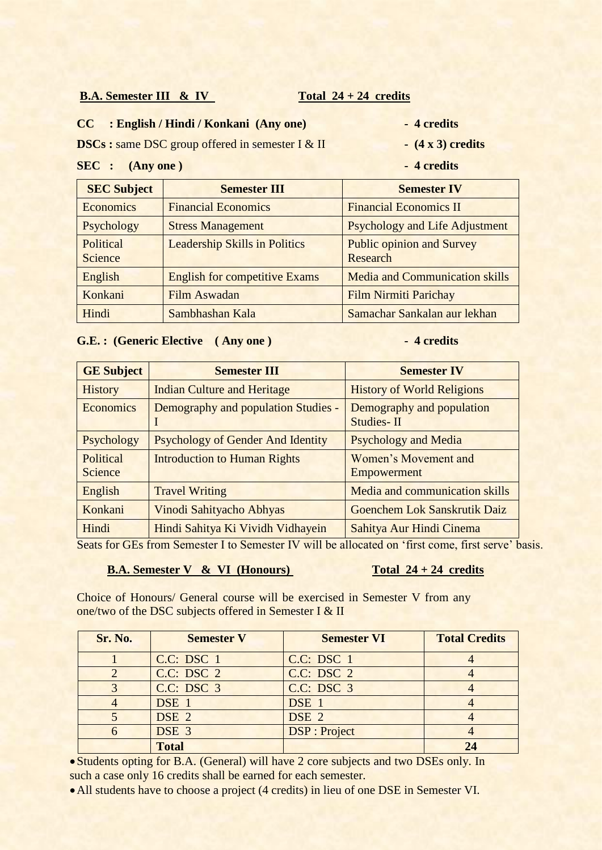### **B.A. Semester III & IV** Total 24 + 24 credits

### **CC : English / Hindi / Konkani (Any one) - 4 credits**

**DSCs :** same DSC group offered in semester I & II - (4 x 3) credits

#### **SEC :** (Any one) 4 credits

- 
- 

| <b>SEC Subject</b>   | <b>Semester III</b>                  | <b>Semester IV</b>                           |
|----------------------|--------------------------------------|----------------------------------------------|
| <b>Economics</b>     | <b>Financial Economics</b>           | <b>Financial Economics II</b>                |
| Psychology           | <b>Stress Management</b>             | <b>Psychology and Life Adjustment</b>        |
| Political<br>Science | <b>Leadership Skills in Politics</b> | <b>Public opinion and Survey</b><br>Research |
| English              | <b>English for competitive Exams</b> | <b>Media and Communication skills</b>        |
| Konkani              | Film Aswadan                         | <b>Film Nirmiti Parichay</b>                 |
| Hindi                | Sambhashan Kala                      | Samachar Sankalan aur lekhan                 |

### G.E.: (Generic Elective (Any one) 4 credits

| <b>GE Subject</b>    | <b>Semester III</b>                      | <b>Semester IV</b>                      |  |  |
|----------------------|------------------------------------------|-----------------------------------------|--|--|
| <b>History</b>       | <b>Indian Culture and Heritage</b>       | <b>History of World Religions</b>       |  |  |
| Economics            | Demography and population Studies -      | Demography and population<br>Studies-II |  |  |
| Psychology           | <b>Psychology of Gender And Identity</b> | <b>Psychology and Media</b>             |  |  |
| Political<br>Science | <b>Introduction to Human Rights</b>      | Women's Movement and<br>Empowerment     |  |  |
| English              | <b>Travel Writing</b>                    | Media and communication skills          |  |  |
| Konkani              | Vinodi Sahityacho Abhyas                 | Goenchem Lok Sanskrutik Daiz            |  |  |
| Hindi                | Hindi Sahitya Ki Vividh Vidhayein        | Sahitya Aur Hindi Cinema                |  |  |

Seats for GEs from Semester I to Semester IV will be allocated on 'first come, first serve' basis.

### **B.A. Semester V & VI (Honours)** Total 24 + 24 credits

Choice of Honours/ General course will be exercised in Semester V from any one/two of the DSC subjects offered in Semester I & II

| <b>Sr. No.</b> | <b>Semester V</b>     | <b>Semester VI</b>   | <b>Total Credits</b> |
|----------------|-----------------------|----------------------|----------------------|
|                | C.C: DSC <sub>1</sub> | C.C: DSC 1           |                      |
|                | C.C: DSC 2            | C.C: DSC 2           |                      |
|                | C.C: DSC 3            | C.C: DSC 3           |                      |
|                | DSE 1                 | DSE 1                |                      |
|                | DSE <sub>2</sub>      | DSE <sub>2</sub>     |                      |
|                | DSE 3                 | <b>DSP</b> : Project |                      |
|                | <b>Total</b>          |                      |                      |

Students opting for B.A. (General) will have 2 core subjects and two DSEs only. In such a case only 16 credits shall be earned for each semester.

All students have to choose a project (4 credits) in lieu of one DSE in Semester VI.